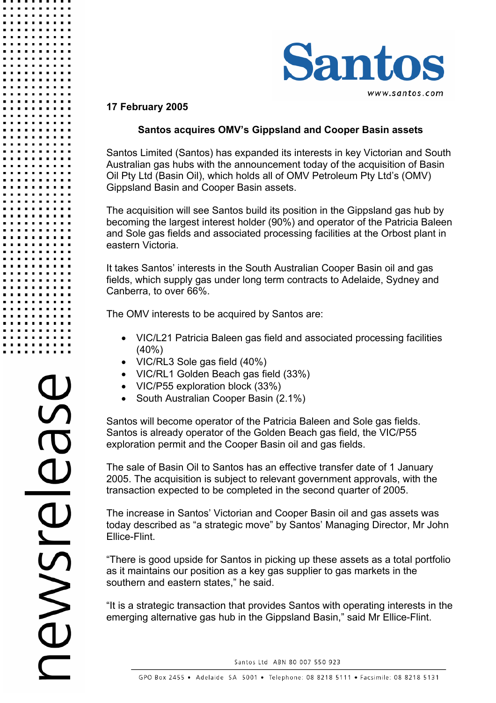

## **17 February 2005**

# **Santos acquires OMV's Gippsland and Cooper Basin assets**

Santos Limited (Santos) has expanded its interests in key Victorian and South Australian gas hubs with the announcement today of the acquisition of Basin Oil Pty Ltd (Basin Oil), which holds all of OMV Petroleum Pty Ltd's (OMV) Gippsland Basin and Cooper Basin assets.

The acquisition will see Santos build its position in the Gippsland gas hub by becoming the largest interest holder (90%) and operator of the Patricia Baleen and Sole gas fields and associated processing facilities at the Orbost plant in eastern Victoria.

It takes Santos' interests in the South Australian Cooper Basin oil and gas fields, which supply gas under long term contracts to Adelaide, Sydney and Canberra, to over 66%.

The OMV interests to be acquired by Santos are:

- VIC/L21 Patricia Baleen gas field and associated processing facilities (40%)
- VIC/RL3 Sole gas field (40%)
- VIC/RL1 Golden Beach gas field (33%)
- VIC/P55 exploration block (33%)
- South Australian Cooper Basin (2.1%)

Santos will become operator of the Patricia Baleen and Sole gas fields. Santos is already operator of the Golden Beach gas field, the VIC/P55 exploration permit and the Cooper Basin oil and gas fields.

The sale of Basin Oil to Santos has an effective transfer date of 1 January 2005. The acquisition is subject to relevant government approvals, with the transaction expected to be completed in the second quarter of 2005.

The increase in Santos' Victorian and Cooper Basin oil and gas assets was today described as "a strategic move" by Santos' Managing Director, Mr John Ellice-Flint.

"There is good upside for Santos in picking up these assets as a total portfolio as it maintains our position as a key gas supplier to gas markets in the southern and eastern states," he said.

"It is a strategic transaction that provides Santos with operating interests in the emerging alternative gas hub in the Gippsland Basin," said Mr Ellice-Flint.

Santos Ltd ABN 80 007 550 923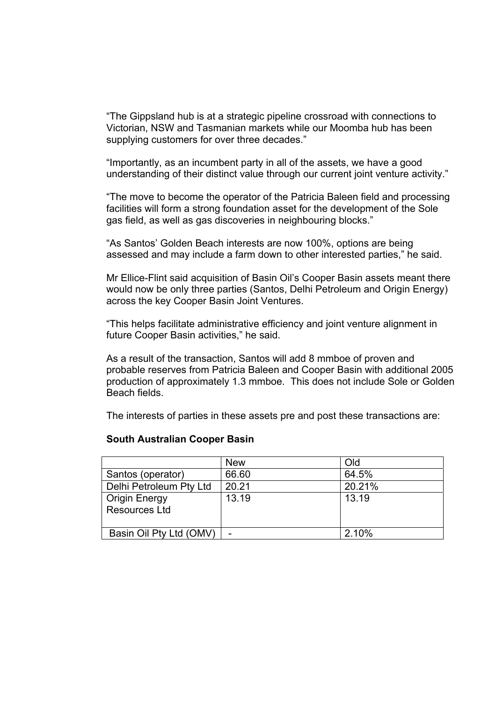"The Gippsland hub is at a strategic pipeline crossroad with connections to Victorian, NSW and Tasmanian markets while our Moomba hub has been supplying customers for over three decades."

"Importantly, as an incumbent party in all of the assets, we have a good understanding of their distinct value through our current joint venture activity."

"The move to become the operator of the Patricia Baleen field and processing facilities will form a strong foundation asset for the development of the Sole gas field, as well as gas discoveries in neighbouring blocks."

"As Santos' Golden Beach interests are now 100%, options are being assessed and may include a farm down to other interested parties," he said.

Mr Ellice-Flint said acquisition of Basin Oil's Cooper Basin assets meant there would now be only three parties (Santos, Delhi Petroleum and Origin Energy) across the key Cooper Basin Joint Ventures.

"This helps facilitate administrative efficiency and joint venture alignment in future Cooper Basin activities," he said.

As a result of the transaction, Santos will add 8 mmboe of proven and probable reserves from Patricia Baleen and Cooper Basin with additional 2005 production of approximately 1.3 mmboe. This does not include Sole or Golden Beach fields.

The interests of parties in these assets pre and post these transactions are:

#### **South Australian Cooper Basin**

|                                       | <b>New</b> | Old    |
|---------------------------------------|------------|--------|
| Santos (operator)                     | 66.60      | 64.5%  |
| Delhi Petroleum Pty Ltd               | 20.21      | 20.21% |
| Origin Energy<br><b>Resources Ltd</b> | 13.19      | 13.19  |
| Basin Oil Pty Ltd (OMV)               |            | 2.10%  |